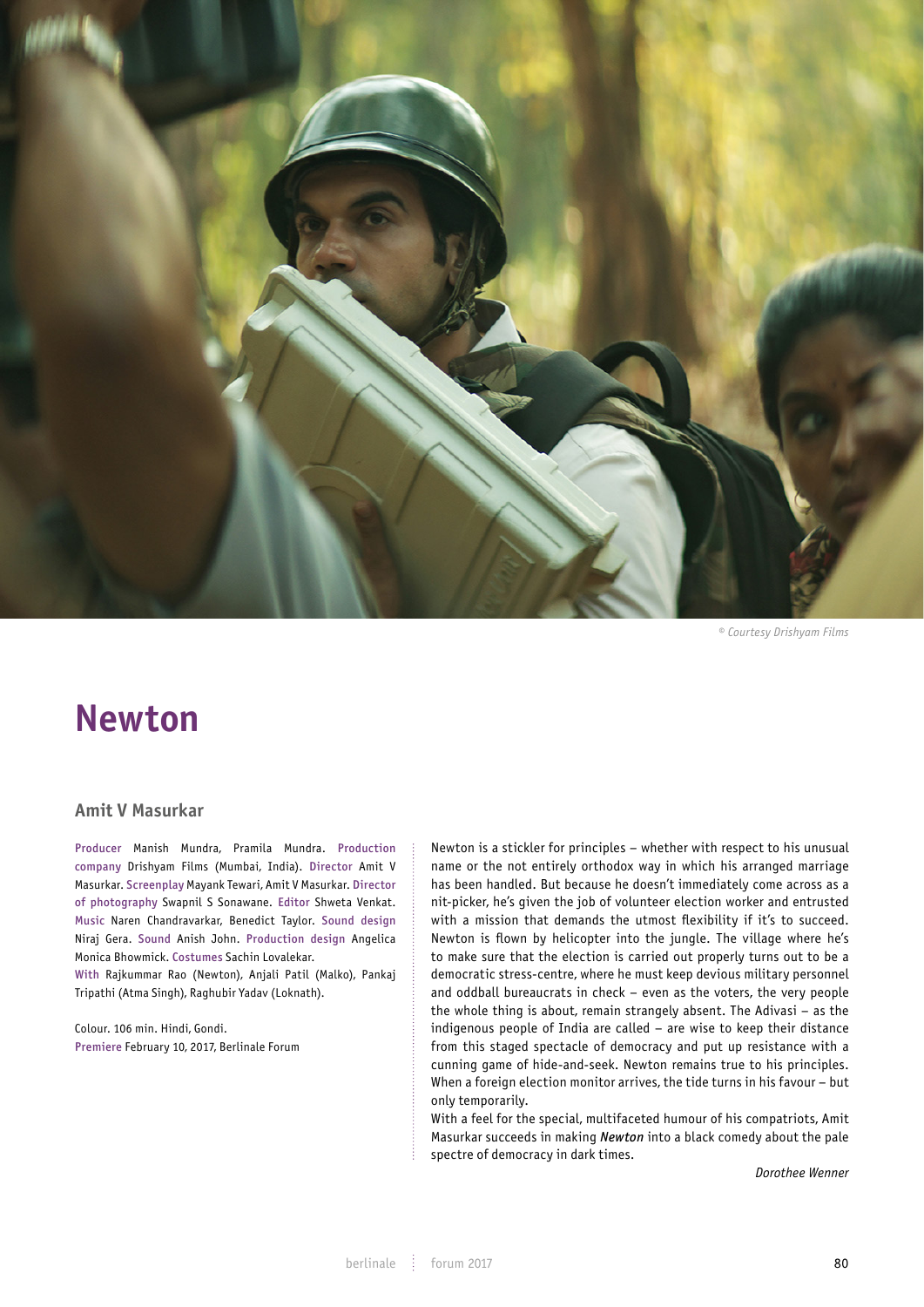

*© Courtesy Drishyam Films*

# **Newton**

## **Amit V Masurkar**

Producer Manish Mundra, Pramila Mundra. Production company Drishyam Films (Mumbai, India). Director Amit V Masurkar. Screenplay Mayank Tewari, Amit V Masurkar. Director of photography Swapnil S Sonawane. Editor Shweta Venkat. Music Naren Chandravarkar, Benedict Taylor. Sound design Niraj Gera. Sound Anish John. Production design Angelica Monica Bhowmick. Costumes Sachin Lovalekar.

With Rajkummar Rao (Newton), Anjali Patil (Malko), Pankaj Tripathi (Atma Singh), Raghubir Yadav (Loknath).

Colour. 106 min. Hindi, Gondi. Premiere February 10, 2017, Berlinale Forum Newton is a stickler for principles – whether with respect to his unusual name or the not entirely orthodox way in which his arranged marriage has been handled. But because he doesn't immediately come across as a nit-picker, he's given the job of volunteer election worker and entrusted with a mission that demands the utmost flexibility if it's to succeed. Newton is flown by helicopter into the jungle. The village where he's to make sure that the election is carried out properly turns out to be a democratic stress-centre, where he must keep devious military personnel and oddball bureaucrats in check – even as the voters, the very people the whole thing is about, remain strangely absent. The Adivasi – as the indigenous people of India are called – are wise to keep their distance from this staged spectacle of democracy and put up resistance with a cunning game of hide-and-seek. Newton remains true to his principles. When a foreign election monitor arrives, the tide turns in his favour – but only temporarily.

With a feel for the special, multifaceted humour of his compatriots, Amit Masurkar succeeds in making *Newton* into a black comedy about the pale spectre of democracy in dark times.

*Dorothee Wenner*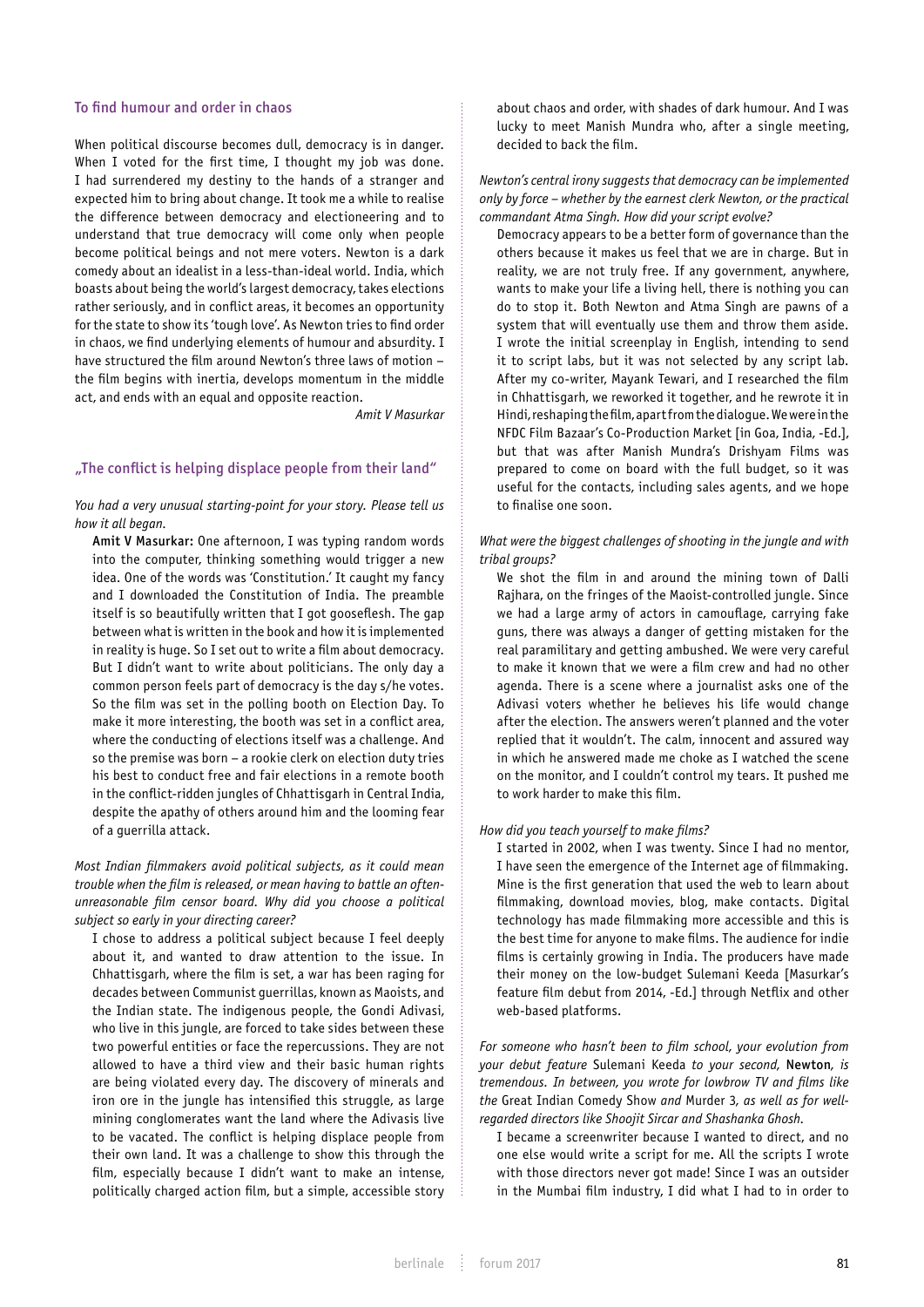### To find humour and order in chaos

When political discourse becomes dull, democracy is in danger. When I voted for the first time, I thought my job was done. I had surrendered my destiny to the hands of a stranger and expected him to bring about change. It took me a while to realise the difference between democracy and electioneering and to understand that true democracy will come only when people become political beings and not mere voters. Newton is a dark comedy about an idealist in a less-than-ideal world. India, which boasts about being the world's largest democracy, takes elections rather seriously, and in conflict areas, it becomes an opportunity for the state to show its 'tough love'. As Newton tries to find order in chaos, we find underlying elements of humour and absurdity. I have structured the film around Newton's three laws of motion – the film begins with inertia, develops momentum in the middle act, and ends with an equal and opposite reaction.

*Amit V Masurkar*

### "The conflict is helping displace people from their land"

*You had a very unusual starting-point for your story. Please tell us how it all began.*

Amit V Masurkar: One afternoon, I was typing random words into the computer, thinking something would trigger a new idea. One of the words was 'Constitution.' It caught my fancy and I downloaded the Constitution of India. The preamble itself is so beautifully written that I got gooseflesh. The gap between what is written in the book and how it is implemented in reality is huge. So I set out to write a film about democracy. But I didn't want to write about politicians. The only day a common person feels part of democracy is the day s/he votes. So the film was set in the polling booth on Election Day. To make it more interesting, the booth was set in a conflict area, where the conducting of elections itself was a challenge. And so the premise was born – a rookie clerk on election duty tries his best to conduct free and fair elections in a remote booth in the conflict-ridden jungles of Chhattisgarh in Central India, despite the apathy of others around him and the looming fear of a guerrilla attack.

## *Most Indian filmmakers avoid political subjects, as it could mean trouble when the film is released, or mean having to battle an oftenunreasonable film censor board. Why did you choose a political subject so early in your directing career?*

I chose to address a political subject because I feel deeply about it, and wanted to draw attention to the issue. In Chhattisgarh, where the film is set, a war has been raging for decades between Communist guerrillas, known as Maoists, and the Indian state. The indigenous people, the Gondi Adivasi, who live in this jungle, are forced to take sides between these two powerful entities or face the repercussions. They are not allowed to have a third view and their basic human rights are being violated every day. The discovery of minerals and iron ore in the jungle has intensified this struggle, as large mining conglomerates want the land where the Adivasis live to be vacated. The conflict is helping displace people from their own land. It was a challenge to show this through the film, especially because I didn't want to make an intense, politically charged action film, but a simple, accessible story about chaos and order, with shades of dark humour. And I was lucky to meet Manish Mundra who, after a single meeting, decided to back the film.

## *Newton's central irony suggests that democracy can be implemented only by force – whether by the earnest clerk Newton, or the practical commandant Atma Singh. How did your script evolve?*

Democracy appears to be a better form of governance than the others because it makes us feel that we are in charge. But in reality, we are not truly free. If any government, anywhere, wants to make your life a living hell, there is nothing you can do to stop it. Both Newton and Atma Singh are pawns of a system that will eventually use them and throw them aside. I wrote the initial screenplay in English, intending to send it to script labs, but it was not selected by any script lab. After my co-writer, Mayank Tewari, and I researched the film in Chhattisgarh, we reworked it together, and he rewrote it in Hindi, reshaping the film, apart from the dialogue. We were in the NFDC Film Bazaar's Co-Production Market [in Goa, India, -Ed.], but that was after Manish Mundra's Drishyam Films was prepared to come on board with the full budget, so it was useful for the contacts, including sales agents, and we hope to finalise one soon.

## *What were the biggest challenges of shooting in the jungle and with tribal groups?*

We shot the film in and around the mining town of Dalli Rajhara, on the fringes of the Maoist-controlled jungle. Since we had a large army of actors in camouflage, carrying fake guns, there was always a danger of getting mistaken for the real paramilitary and getting ambushed. We were very careful to make it known that we were a film crew and had no other agenda. There is a scene where a journalist asks one of the Adivasi voters whether he believes his life would change after the election. The answers weren't planned and the voter replied that it wouldn't. The calm, innocent and assured way in which he answered made me choke as I watched the scene on the monitor, and I couldn't control my tears. It pushed me to work harder to make this film.

#### *How did you teach yourself to make films?*

I started in 2002, when I was twenty. Since I had no mentor, I have seen the emergence of the Internet age of filmmaking. Mine is the first generation that used the web to learn about filmmaking, download movies, blog, make contacts. Digital technology has made filmmaking more accessible and this is the best time for anyone to make films. The audience for indie films is certainly growing in India. The producers have made their money on the low-budget Sulemani Keeda [Masurkar's feature film debut from 2014, -Ed.] through Netflix and other web-based platforms.

*For someone who hasn't been to film school, your evolution from your debut feature* Sulemani Keeda *to your second,* Newton*, is tremendous. In between, you wrote for lowbrow TV and films like the* Great Indian Comedy Show *and* Murder 3*, as well as for wellregarded directors like Shoojit Sircar and Shashanka Ghosh.*

I became a screenwriter because I wanted to direct, and no one else would write a script for me. All the scripts I wrote with those directors never got made! Since I was an outsider in the Mumbai film industry, I did what I had to in order to